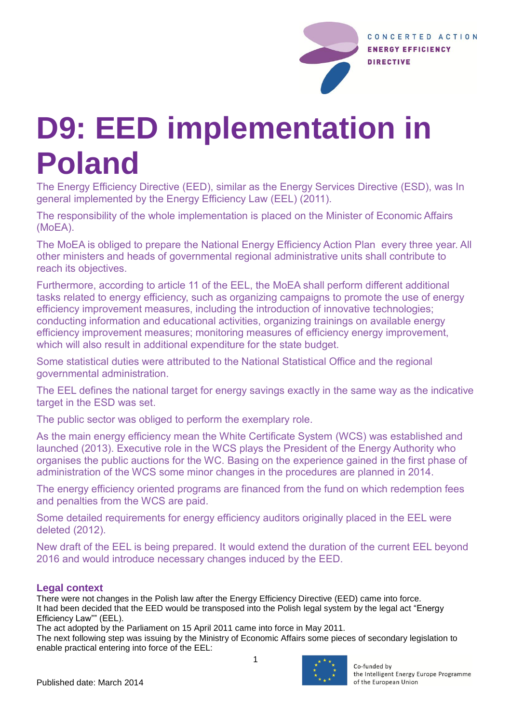

# **D9: EED implementation in Poland**

The Energy Efficiency Directive (EED), similar as the Energy Services Directive (ESD), was In general implemented by the Energy Efficiency Law (EEL) (2011).

The responsibility of the whole implementation is placed on the Minister of Economic Affairs (MoEA).

The MoEA is obliged to prepare the National Energy Efficiency Action Plan every three year. All other ministers and heads of governmental regional administrative units shall contribute to reach its objectives.

Furthermore, according to article 11 of the EEL, the MoEA shall perform different additional tasks related to energy efficiency, such as organizing campaigns to promote the use of energy efficiency improvement measures, including the introduction of innovative technologies; conducting information and educational activities, organizing trainings on available energy efficiency improvement measures; monitoring measures of efficiency energy improvement, which will also result in additional expenditure for the state budget.

Some statistical duties were attributed to the National Statistical Office and the regional governmental administration.

The EEL defines the national target for energy savings exactly in the same way as the indicative target in the ESD was set.

The public sector was obliged to perform the exemplary role.

As the main energy efficiency mean the White Certificate System (WCS) was established and launched (2013). Executive role in the WCS plays the President of the Energy Authority who organises the public auctions for the WC. Basing on the experience gained in the first phase of administration of the WCS some minor changes in the procedures are planned in 2014.

The energy efficiency oriented programs are financed from the fund on which redemption fees and penalties from the WCS are paid.

Some detailed requirements for energy efficiency auditors originally placed in the EEL were deleted (2012).

New draft of the EEL is being prepared. It would extend the duration of the current EEL beyond 2016 and would introduce necessary changes induced by the EED.

# **Legal context**

There were not changes in the Polish law after the Energy Efficiency Directive (EED) came into force. It had been decided that the EED would be transposed into the Polish legal system by the legal act "Energy Efficiency Law"" (EEL).

The act adopted by the Parliament on 15 April 2011 came into force in May 2011.

The next following step was issuing by the Ministry of Economic Affairs some pieces of secondary legislation to enable practical entering into force of the EEL:



Co-funded by the Intelligent Energy Europe Programme of the European Union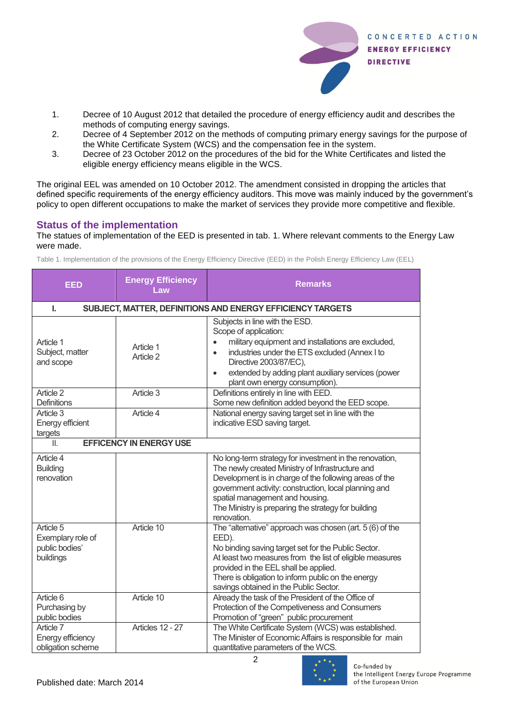

- 1. Decree of 10 August 2012 that detailed the procedure of energy efficiency audit and describes the methods of computing energy savings.
- 2. Decree of 4 September 2012 on the methods of computing primary energy savings for the purpose of the White Certificate System (WCS) and the compensation fee in the system.
- 3. Decree of 23 October 2012 on the procedures of the bid for the White Certificates and listed the eligible energy efficiency means eligible in the WCS.

The original EEL was amended on 10 October 2012. The amendment consisted in dropping the articles that defined specific requirements of the energy efficiency auditors. This move was mainly induced by the government's policy to open different occupations to make the market of services they provide more competitive and flexible.

# **Status of the implementation**

The statues of implementation of the EED is presented in tab. 1. Where relevant comments to the Energy Law were made.

| <b>EED</b>                                                       | <b>Energy Efficiency</b><br>Law | <b>Remarks</b>                                                                                                                                                                                                                                                                                                                          |  |  |
|------------------------------------------------------------------|---------------------------------|-----------------------------------------------------------------------------------------------------------------------------------------------------------------------------------------------------------------------------------------------------------------------------------------------------------------------------------------|--|--|
| SUBJECT, MATTER, DEFINITIONS AND ENERGY EFFICIENCY TARGETS<br>L. |                                 |                                                                                                                                                                                                                                                                                                                                         |  |  |
| Article 1<br>Subject, matter<br>and scope                        | Article 1<br>Article 2          | Subjects in line with the ESD.<br>Scope of application:<br>military equipment and installations are excluded,<br>industries under the ETS excluded (Annex I to<br>$\bullet$<br>Directive 2003/87/EC),<br>extended by adding plant auxiliary services (power<br>$\bullet$<br>plant own energy consumption).                              |  |  |
| Article 2<br>Definitions                                         | Article 3                       | Definitions entirely in line with EED.<br>Some new definition added beyond the EED scope.                                                                                                                                                                                                                                               |  |  |
| Article 3<br><b>Energy efficient</b><br>targets                  | Article 4                       | National energy saving target set in line with the<br>indicative ESD saving target.                                                                                                                                                                                                                                                     |  |  |
| <b>EFFICENCY IN ENERGY USE</b><br>Ш.                             |                                 |                                                                                                                                                                                                                                                                                                                                         |  |  |
| Article 4<br><b>Building</b><br>renovation                       |                                 | No long-term strategy for investment in the renovation,<br>The newly created Ministry of Infrastructure and<br>Development is in charge of the following areas of the<br>government activity: construction, local planning and<br>spatial management and housing.<br>The Ministry is preparing the strategy for building<br>renovation. |  |  |
| Article 5<br>Exemplary role of<br>public bodies'<br>buildings    | Article 10                      | The "alternative" approach was chosen (art. 5 (6) of the<br>EED).<br>No binding saving target set for the Public Sector.<br>At least two measures from the list of eligible measures<br>provided in the EEL shall be applied.<br>There is obligation to inform public on the energy<br>savings obtained in the Public Sector.           |  |  |
| Article 6<br>Purchasing by<br>public bodies                      | Article 10                      | Already the task of the President of the Office of<br>Protection of the Competiveness and Consumers<br>Promotion of "green" public procurement                                                                                                                                                                                          |  |  |
| Article 7<br>Energy efficiency<br>obligation scheme              | Articles 12 - 27                | The White Certificate System (WCS) was established.<br>The Minister of Economic Affairs is responsible for main<br>quantitative parameters of the WCS.                                                                                                                                                                                  |  |  |

Table 1. Implementation of the provisions of the Energy Efficiency Directive (EED) in the Polish Energy Efficiency Law (EEL)



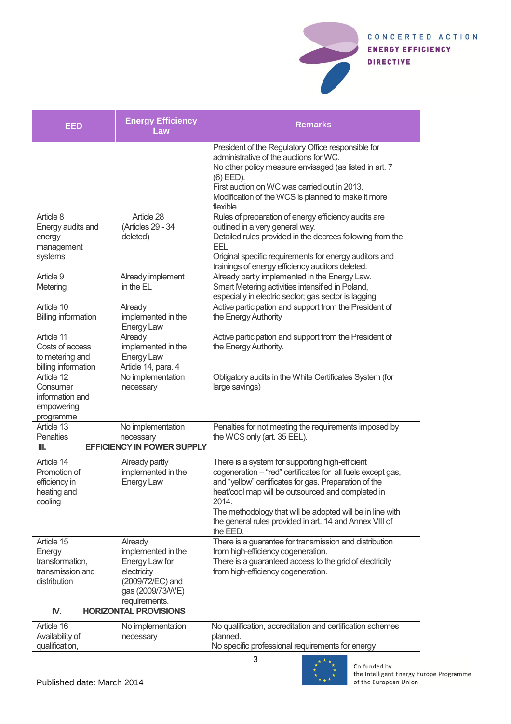

| <b>EED</b>                                                                  | <b>Energy Efficiency</b><br>Law                                                                                         | <b>Remarks</b>                                                                                                                                                                                                                                                                                                                                                            |  |  |
|-----------------------------------------------------------------------------|-------------------------------------------------------------------------------------------------------------------------|---------------------------------------------------------------------------------------------------------------------------------------------------------------------------------------------------------------------------------------------------------------------------------------------------------------------------------------------------------------------------|--|--|
|                                                                             |                                                                                                                         | President of the Regulatory Office responsible for<br>administrative of the auctions for WC.<br>No other policy measure envisaged (as listed in art. 7<br>$(6)$ EED).<br>First auction on WC was carried out in 2013.<br>Modification of the WCS is planned to make it more<br>flexible.                                                                                  |  |  |
| Article 8<br>Energy audits and<br>energy<br>management<br>systems           | Article 28<br>(Articles 29 - 34<br>deleted)                                                                             | Rules of preparation of energy efficiency audits are<br>outlined in a very general way.<br>Detailed rules provided in the decrees following from the<br>EEL.<br>Original specific requirements for energy auditors and<br>trainings of energy efficiency auditors deleted.                                                                                                |  |  |
| Article 9<br>Metering                                                       | Already implement<br>in the EL                                                                                          | Already partly implemented in the Energy Law.<br>Smart Metering activities intensified in Poland,<br>especially in electric sector; gas sector is lagging                                                                                                                                                                                                                 |  |  |
| Article 10<br><b>Billing information</b>                                    | Already<br>implemented in the<br>Energy Law                                                                             | Active participation and support from the President of<br>the Energy Authority                                                                                                                                                                                                                                                                                            |  |  |
| Article 11<br>Costs of access<br>to metering and<br>billing information     | Already<br>implemented in the<br><b>Energy Law</b><br>Article 14, para. 4                                               | Active participation and support from the President of<br>the Energy Authority.                                                                                                                                                                                                                                                                                           |  |  |
| Article 12<br>Consumer<br>information and<br>empowering<br>programme        | No implementation<br>necessary                                                                                          | Obligatory audits in the White Certificates System (for<br>large savings)                                                                                                                                                                                                                                                                                                 |  |  |
| Article 13<br><b>Penalties</b>                                              | No implementation<br>necessary                                                                                          | Penalties for not meeting the requirements imposed by<br>the WCS only (art. 35 EEL).                                                                                                                                                                                                                                                                                      |  |  |
| <b>EFFICIENCY IN POWER SUPPLY</b><br>Ш.                                     |                                                                                                                         |                                                                                                                                                                                                                                                                                                                                                                           |  |  |
| Article 14<br>Promotion of<br>efficiency in<br>heating and<br>cooling       | Already partly<br>implemented in the<br><b>Energy Law</b>                                                               | There is a system for supporting high-efficient<br>cogeneration - "red" certificates for all fuels except gas,<br>and "yellow" certificates for gas. Preparation of the<br>heat/cool map will be outsourced and completed in<br>2014.<br>The methodology that will be adopted will be in line with<br>the general rules provided in art. 14 and Annex VIII of<br>the EED. |  |  |
| Article 15<br>Energy<br>transformation,<br>transmission and<br>distribution | Already<br>implemented in the<br>Energy Law for<br>electricity<br>(2009/72/EC) and<br>gas (2009/73/WE)<br>requirements. | There is a guarantee for transmission and distribution<br>from high-efficiency cogeneration.<br>There is a guaranteed access to the grid of electricity<br>from high-efficiency cogeneration.                                                                                                                                                                             |  |  |
| <b>HORIZONTAL PROVISIONS</b><br>IV.                                         |                                                                                                                         |                                                                                                                                                                                                                                                                                                                                                                           |  |  |
| Article 16<br>Availability of<br>qualification,                             | No implementation<br>necessary                                                                                          | No qualification, accreditation and certification schemes<br>planned.<br>No specific professional requirements for energy                                                                                                                                                                                                                                                 |  |  |



Co-funded by<br>the Intelligent Energy Europe Programme<br>of the European Union